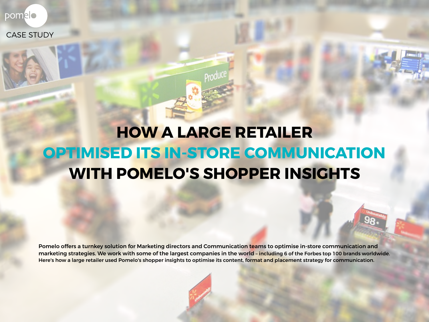pomelo

CASE STUDY

# **HOW A LARGE RETAILER OPTIMISED ITS IN-STORE COMMUNICATION WITH POMELO'S SHOPPER INSIGHTS**

Pomelo offers a turnkey solution for Marketing directors and Communication teams to optimise in-store communication and marketing strategies. We work with some of the largest companies in the world – including 6 of the Forbes top 100 brands worldwide. Here's how a large retailer used Pomelo's shopper insights to optimise its content, format and placement strategy for communication.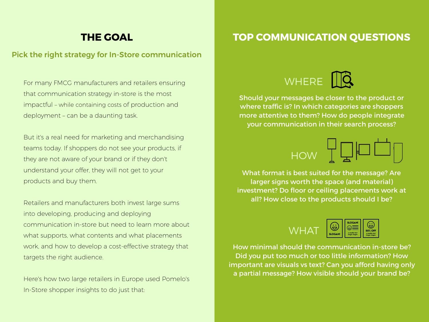# **THE GOAL**

Pick the right strategy for In-Store communication

For many FMCG manufacturers and retailers ensuring that communication strategy in-store is the most impactful – while containing costs of production and deployment – can be a daunting task.

But it's a real need for marketing and merchandising teams today. If shoppers do not see your products, if they are not aware of your brand or if they don't understand your offer, they will not get to your products and buy them.

Retailers and manufacturers both invest large sums into developing, producing and deploying communication in-store but need to learn more about what supports, what contents and what placements work, and how to develop a cost-effective strategy that targets the right audience.

Here's how two large retailers in Europe used Pomelo's In-Store shopper insights to do just that:

### **TOP COMMUNICATION QUESTIONS**



Should your messages be closer to the product or where traffic is? In which categories are shoppers more attentive to them? How do people integrate your communication in their search process?



What format is best suited for the message? Are larger signs worth the space (and material) investment? Do floor or ceiling placements work at all? How close to the products should I be?



How minimal should the communication in-store be? Did you put too much or too little information? How important are visuals vs text? Can you afford having only a partial message? How visible should your brand be?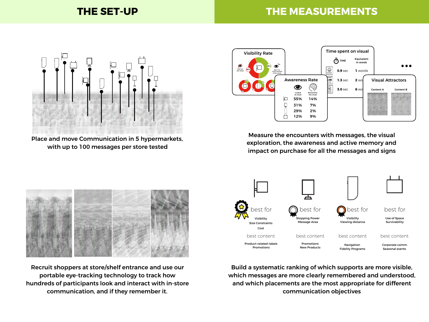## **THE SET-UP THE MEASUREMENTS**





Place and move Communication in 5 hypermarkets, with up to 100 messages per store tested



Measure the encounters with messages, the visual exploration, the awareness and active memory and impact on purchase for all the messages and signs



Recruit shoppers at store/shelf entrance and use our portable eye-tracking technology to track how hundreds of participants look and interact with in-store communication, and if they remember it.

Build a systematic ranking of which supports are more visible, which messages are more clearly remembered and understood, and which placements are the most appropriate for different communication objectives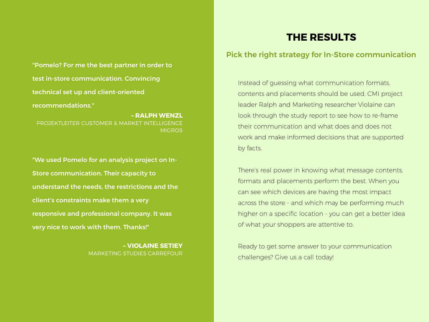### **THE RESULTS**

## "Pomelo? For me the best partner in order to test in-store communication. Convincing technical set up and client-oriented recommendations."

**– RALPH WENZL**  PROJEKTLEITER CUSTOMER & MARKET INTELLIGENCE **MIGROS** 

"We used Pomelo for an analysis project on In-Store communication. Their capacity to understand the needs, the restrictions and the client's constraints make them a very responsive and professional company. It was very nice to work with them. Thanks!"

> **– VIOLAINE SETIEY**  MARKETING STUDIES CARREFOUR

#### Pick the right strategy for In-Store communication

Instead of guessing what communication formats, contents and placements should be used, CMI project leader Ralph and Marketing researcher Violaine can look through the study report to see how to re-frame their communication and what does and does not work and make informed decisions that are supported by facts.

There's real power in knowing what message contents, formats and placements perform the best. When you can see which devices are having the most impact across the store - and which may be performing much higher on a specific location - you can get a better idea of what your shoppers are attentive to.

Ready to get some answer to your communication challenges? Give us a call today!